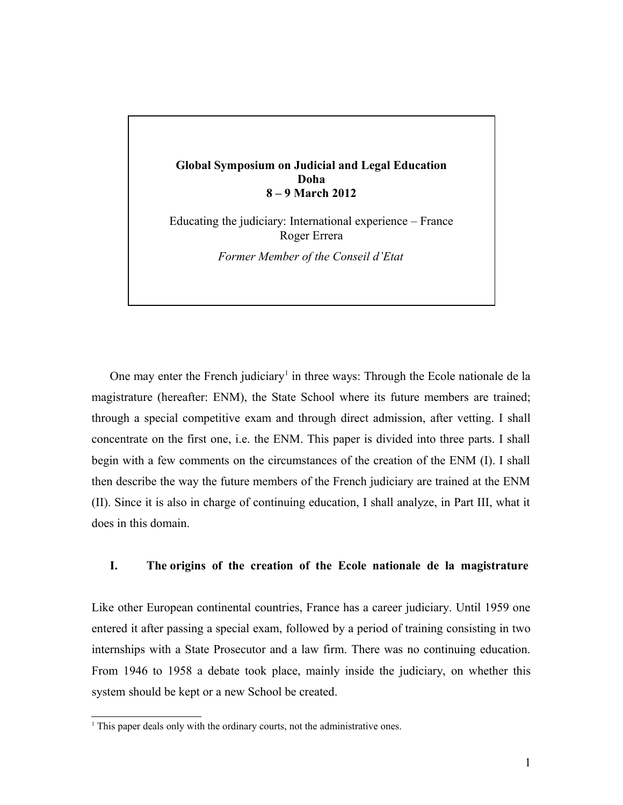## **Global Symposium on Judicial and Legal Education Doha 8 – 9 March 2012**

Educating the judiciary: International experience – France Roger Errera

*Former Member of the Conseil d'Etat*

One may enter the French judiciary<sup>[1](#page-0-0)</sup> in three ways: Through the Ecole nationale de la magistrature (hereafter: ENM), the State School where its future members are trained; through a special competitive exam and through direct admission, after vetting. I shall concentrate on the first one, i.e. the ENM. This paper is divided into three parts. I shall begin with a few comments on the circumstances of the creation of the ENM (I). I shall then describe the way the future members of the French judiciary are trained at the ENM (II). Since it is also in charge of continuing education, I shall analyze, in Part III, what it does in this domain.

## **I. The origins of the creation of the Ecole nationale de la magistrature**

Like other European continental countries, France has a career judiciary. Until 1959 one entered it after passing a special exam, followed by a period of training consisting in two internships with a State Prosecutor and a law firm. There was no continuing education. From 1946 to 1958 a debate took place, mainly inside the judiciary, on whether this system should be kept or a new School be created.

<span id="page-0-0"></span><sup>&</sup>lt;sup>1</sup> This paper deals only with the ordinary courts, not the administrative ones.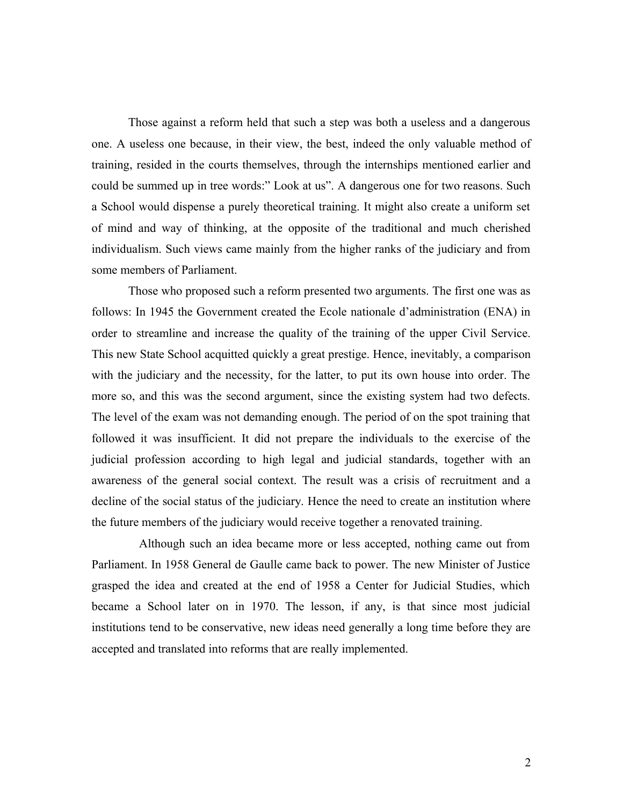Those against a reform held that such a step was both a useless and a dangerous one. A useless one because, in their view, the best, indeed the only valuable method of training, resided in the courts themselves, through the internships mentioned earlier and could be summed up in tree words:" Look at us". A dangerous one for two reasons. Such a School would dispense a purely theoretical training. It might also create a uniform set of mind and way of thinking, at the opposite of the traditional and much cherished individualism. Such views came mainly from the higher ranks of the judiciary and from some members of Parliament.

Those who proposed such a reform presented two arguments. The first one was as follows: In 1945 the Government created the Ecole nationale d'administration (ENA) in order to streamline and increase the quality of the training of the upper Civil Service. This new State School acquitted quickly a great prestige. Hence, inevitably, a comparison with the judiciary and the necessity, for the latter, to put its own house into order. The more so, and this was the second argument, since the existing system had two defects. The level of the exam was not demanding enough. The period of on the spot training that followed it was insufficient. It did not prepare the individuals to the exercise of the judicial profession according to high legal and judicial standards, together with an awareness of the general social context. The result was a crisis of recruitment and a decline of the social status of the judiciary. Hence the need to create an institution where the future members of the judiciary would receive together a renovated training.

 Although such an idea became more or less accepted, nothing came out from Parliament. In 1958 General de Gaulle came back to power. The new Minister of Justice grasped the idea and created at the end of 1958 a Center for Judicial Studies, which became a School later on in 1970. The lesson, if any, is that since most judicial institutions tend to be conservative, new ideas need generally a long time before they are accepted and translated into reforms that are really implemented.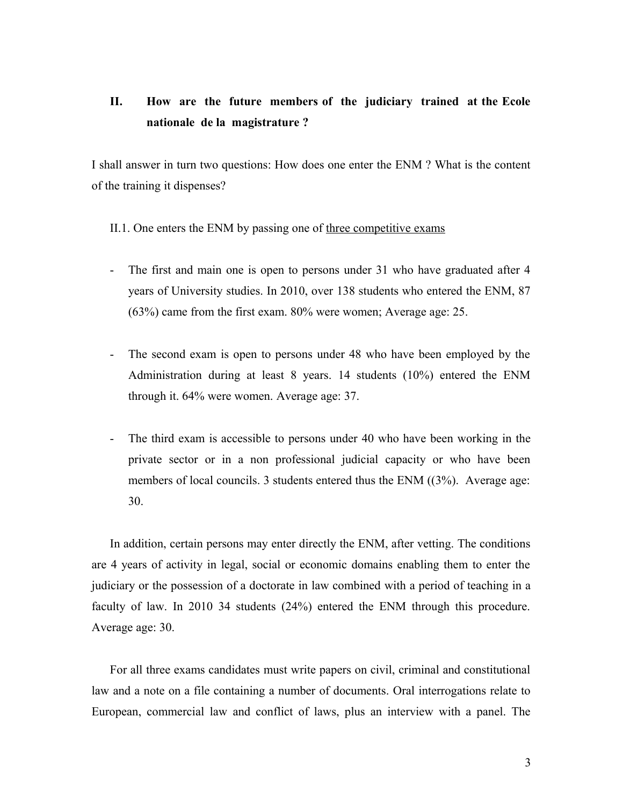# **II. How are the future members of the judiciary trained at the Ecole nationale de la magistrature ?**

I shall answer in turn two questions: How does one enter the ENM ? What is the content of the training it dispenses?

II.1. One enters the ENM by passing one of three competitive exams

- The first and main one is open to persons under 31 who have graduated after 4 years of University studies. In 2010, over 138 students who entered the ENM, 87 (63%) came from the first exam. 80% were women; Average age: 25.
- The second exam is open to persons under 48 who have been employed by the Administration during at least 8 years. 14 students (10%) entered the ENM through it. 64% were women. Average age: 37.
- The third exam is accessible to persons under 40 who have been working in the private sector or in a non professional judicial capacity or who have been members of local councils. 3 students entered thus the ENM ((3%). Average age: 30.

In addition, certain persons may enter directly the ENM, after vetting. The conditions are 4 years of activity in legal, social or economic domains enabling them to enter the judiciary or the possession of a doctorate in law combined with a period of teaching in a faculty of law. In 2010 34 students (24%) entered the ENM through this procedure. Average age: 30.

For all three exams candidates must write papers on civil, criminal and constitutional law and a note on a file containing a number of documents. Oral interrogations relate to European, commercial law and conflict of laws, plus an interview with a panel. The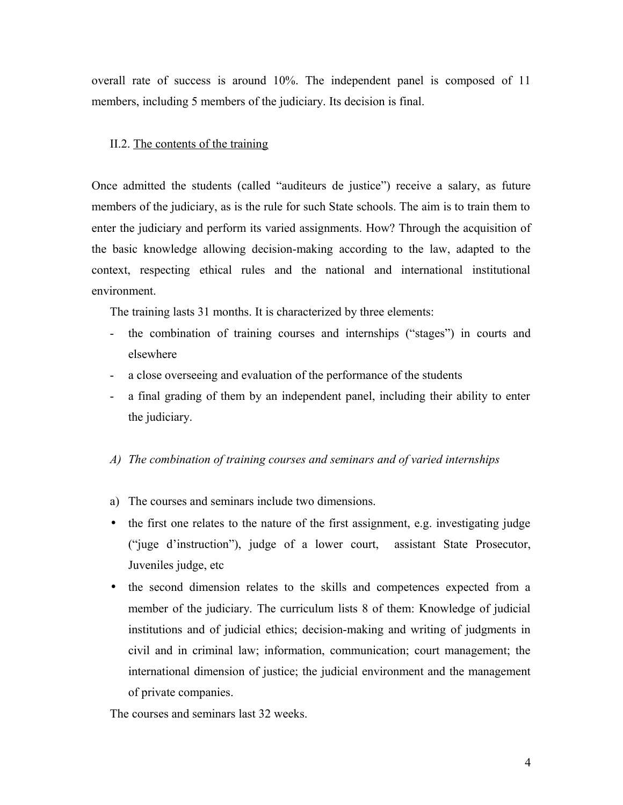overall rate of success is around 10%. The independent panel is composed of 11 members, including 5 members of the judiciary. Its decision is final.

#### II.2. The contents of the training

Once admitted the students (called "auditeurs de justice") receive a salary, as future members of the judiciary, as is the rule for such State schools. The aim is to train them to enter the judiciary and perform its varied assignments. How? Through the acquisition of the basic knowledge allowing decision-making according to the law, adapted to the context, respecting ethical rules and the national and international institutional environment.

The training lasts 31 months. It is characterized by three elements:

- the combination of training courses and internships ("stages") in courts and elsewhere
- a close overseeing and evaluation of the performance of the students
- a final grading of them by an independent panel, including their ability to enter the judiciary.

#### *A) The combination of training courses and seminars and of varied internships*

- a) The courses and seminars include two dimensions.
- the first one relates to the nature of the first assignment, e.g. investigating judge ("juge d'instruction"), judge of a lower court, assistant State Prosecutor, Juveniles judge, etc
- the second dimension relates to the skills and competences expected from a member of the judiciary. The curriculum lists 8 of them: Knowledge of judicial institutions and of judicial ethics; decision-making and writing of judgments in civil and in criminal law; information, communication; court management; the international dimension of justice; the judicial environment and the management of private companies.

The courses and seminars last 32 weeks.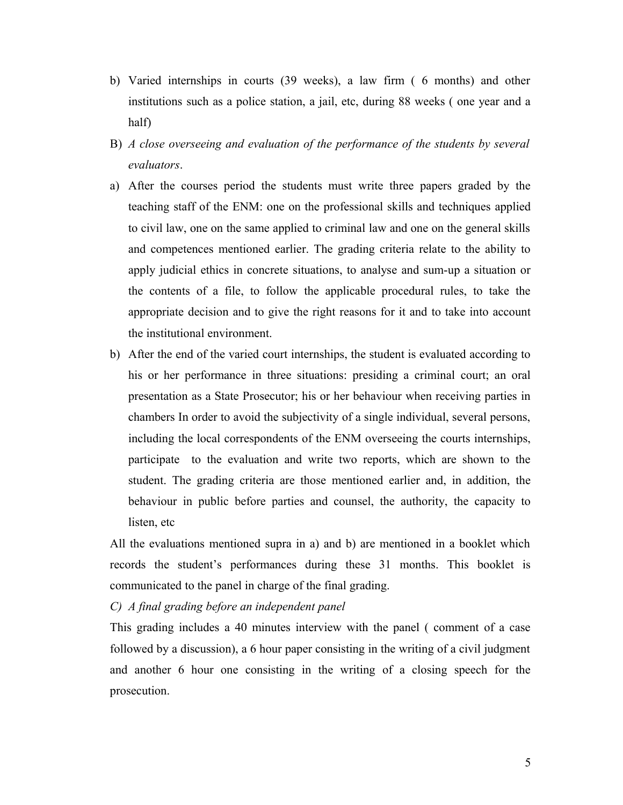- b) Varied internships in courts (39 weeks), a law firm ( 6 months) and other institutions such as a police station, a jail, etc, during 88 weeks ( one year and a half)
- B) *A close overseeing and evaluation of the performance of the students by several evaluators*.
- a) After the courses period the students must write three papers graded by the teaching staff of the ENM: one on the professional skills and techniques applied to civil law, one on the same applied to criminal law and one on the general skills and competences mentioned earlier. The grading criteria relate to the ability to apply judicial ethics in concrete situations, to analyse and sum-up a situation or the contents of a file, to follow the applicable procedural rules, to take the appropriate decision and to give the right reasons for it and to take into account the institutional environment.
- b) After the end of the varied court internships, the student is evaluated according to his or her performance in three situations: presiding a criminal court; an oral presentation as a State Prosecutor; his or her behaviour when receiving parties in chambers In order to avoid the subjectivity of a single individual, several persons, including the local correspondents of the ENM overseeing the courts internships, participate to the evaluation and write two reports, which are shown to the student. The grading criteria are those mentioned earlier and, in addition, the behaviour in public before parties and counsel, the authority, the capacity to listen, etc

All the evaluations mentioned supra in a) and b) are mentioned in a booklet which records the student's performances during these 31 months. This booklet is communicated to the panel in charge of the final grading.

*C) A final grading before an independent panel*

This grading includes a 40 minutes interview with the panel ( comment of a case followed by a discussion), a 6 hour paper consisting in the writing of a civil judgment and another 6 hour one consisting in the writing of a closing speech for the prosecution.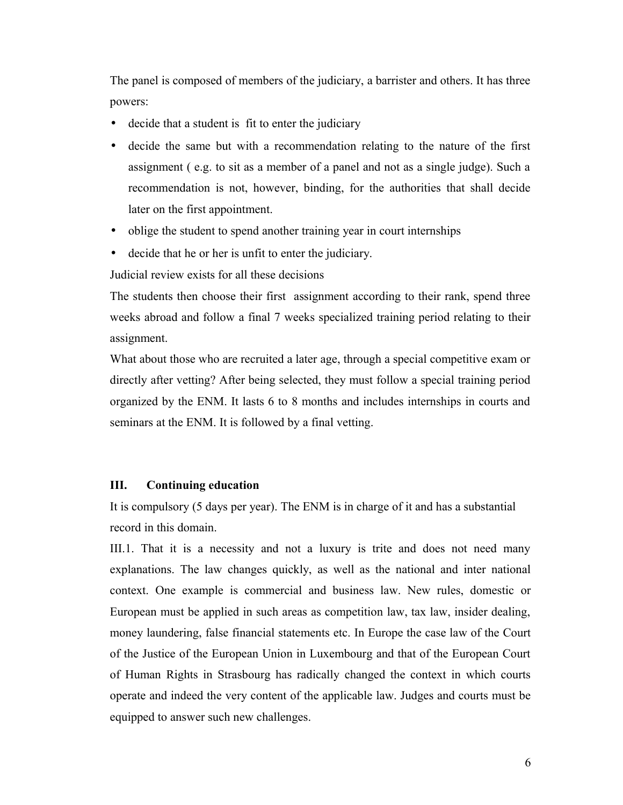The panel is composed of members of the judiciary, a barrister and others. It has three powers:

- decide that a student is fit to enter the judiciary
- decide the same but with a recommendation relating to the nature of the first assignment ( e.g. to sit as a member of a panel and not as a single judge). Such a recommendation is not, however, binding, for the authorities that shall decide later on the first appointment.
- oblige the student to spend another training year in court internships
- decide that he or her is unfit to enter the judiciary.

Judicial review exists for all these decisions

The students then choose their first assignment according to their rank, spend three weeks abroad and follow a final 7 weeks specialized training period relating to their assignment.

What about those who are recruited a later age, through a special competitive exam or directly after vetting? After being selected, they must follow a special training period organized by the ENM. It lasts 6 to 8 months and includes internships in courts and seminars at the ENM. It is followed by a final vetting.

### **III. Continuing education**

It is compulsory (5 days per year). The ENM is in charge of it and has a substantial record in this domain.

III.1. That it is a necessity and not a luxury is trite and does not need many explanations. The law changes quickly, as well as the national and inter national context. One example is commercial and business law. New rules, domestic or European must be applied in such areas as competition law, tax law, insider dealing, money laundering, false financial statements etc. In Europe the case law of the Court of the Justice of the European Union in Luxembourg and that of the European Court of Human Rights in Strasbourg has radically changed the context in which courts operate and indeed the very content of the applicable law. Judges and courts must be equipped to answer such new challenges.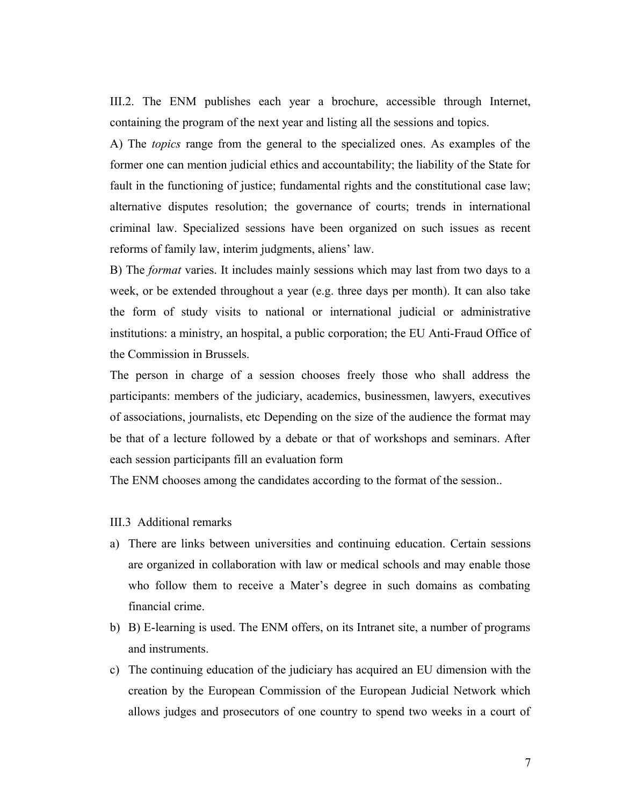III.2. The ENM publishes each year a brochure, accessible through Internet, containing the program of the next year and listing all the sessions and topics.

A) The *topics* range from the general to the specialized ones. As examples of the former one can mention judicial ethics and accountability; the liability of the State for fault in the functioning of justice; fundamental rights and the constitutional case law; alternative disputes resolution; the governance of courts; trends in international criminal law. Specialized sessions have been organized on such issues as recent reforms of family law, interim judgments, aliens' law.

B) The *format* varies. It includes mainly sessions which may last from two days to a week, or be extended throughout a year (e.g. three days per month). It can also take the form of study visits to national or international judicial or administrative institutions: a ministry, an hospital, a public corporation; the EU Anti-Fraud Office of the Commission in Brussels.

The person in charge of a session chooses freely those who shall address the participants: members of the judiciary, academics, businessmen, lawyers, executives of associations, journalists, etc Depending on the size of the audience the format may be that of a lecture followed by a debate or that of workshops and seminars. After each session participants fill an evaluation form

The ENM chooses among the candidates according to the format of the session..

- III.3 Additional remarks
- a) There are links between universities and continuing education. Certain sessions are organized in collaboration with law or medical schools and may enable those who follow them to receive a Mater's degree in such domains as combating financial crime.
- b) B) E-learning is used. The ENM offers, on its Intranet site, a number of programs and instruments.
- c) The continuing education of the judiciary has acquired an EU dimension with the creation by the European Commission of the European Judicial Network which allows judges and prosecutors of one country to spend two weeks in a court of